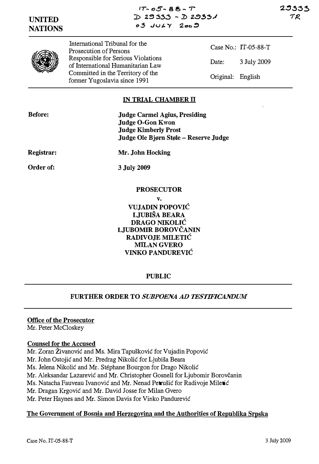$17 - 05 - 88 - T$  $D2333 - D29531$  $0.3$  JULY  $200.9$ 

# UNITED NATIONS

29333 ナロ



International Tribunal for the Prosecution of Persons Responsible for Serious Violations of International Humanitarian Law Committed in the Territory of the former Yugoslavia since 1991

Case No.: IT-05-88-T Date: 3 July 2009 Original: English

## IN TRIAL CHAMBER II

Judge Carmel Agius, Presiding Judge O-Gon Kwon Judge Kimberly Prost Judge Ole Bjørn Støle - Reserve Judge

Registrar:

Order of:

Mr. John Hocking

3 July 2009

## PROSECUTOR

v.

VUJADIN POPOVIC LJUBISA BEARA DRAGO NIKOLIC LJUBOMIR BOROVCANIN RADIVOJE MILETIC MILAN GVERO VINKO PANDUREVIC

## PUBLIC

## FURTHER ORDER TO SUBPOENA AD TESTIFICANDUM

## Office of the Prosecutor

Mr. Peter McCloskey

#### Counsel for the Accused

Mr. Zoran Živanović and Ms. Mira Tapušković for Vujadin Popović

- Mr. John Ostojic and Mr. Predrag Nikolic for Ljubisa Beara
- Ms. Jelena Nikolic and Mr. Stephane Bourgon for Drago Nikolic

Mr. Aleksandar Lazarević and Mr. Christopher Gosnell for Ljubomir Borovčanin

Ms. Natacha Fauveau Ivanović and Mr. Nenad Petrušić for Radivoje Miletić

Mr. Dragan Krgovic and Mr. David Josse for Milan Gvero

Mr. Peter Haynes and Mr. Simon Davis for Vinko Pandurevic

## The Government of Bosnia and Herzegovina and the Authorities of Republika Srpska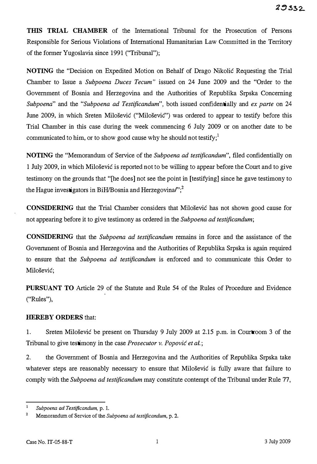THIS TRIAL CHAMBER of the International Tribunal for the Prosecution of Persons Responsible for Serious Violations of International Humanitarian Law Committed in the Territory of the former Yugoslavia since 1991 ("Tribunal");

NOTING the "Decision on Expedited Motion on Behalf of Drago Nikolic Requesting the Trial Chamber to Issue a Subpoena Duces Tecum" issued on 24 June 2009 and the "Order to the Government of Bosnia and Herzegovina and the Authorities of Republika Srpska Concerning Subpoena" and the "Subpoena ad Testificandum", both issued confidentially and ex parte on 24 June 2009, in which Sreten Milošević ("Milošević") was ordered to appear to testify before this Trial Chamber in this case during the week commencing 6 July 2009 or on another date to be communicated to him, or to show good cause why he should not testify;<sup>1</sup>

NOTING the "Memorandum of Service of the Subpoena ad testificandum", filed confidentially on 1 July 2009, in which Milosevic is reported not to be willing to appear before the Court and to give testimony on the grounds that "[he does] not see the point in [testifying] since he gave testimony to the Hague investigators in BiH/Bosnia and Herzegovina $r$ ; $^2$ 

CONSIDERING that the Trial Chamber considers that Milosevic has not shown good cause for not appearing before it to give testimony as ordered in the Subpoena ad testificandum;

CONSIDERING that the Subpoena ad testificandum remains in force and the assistance of the Government of Bosnia and Herzegovina and the Authorities of Republika Srpska is again required to ensure that the Subpoena ad testificandum is enforced and to communicate this Order to Milošević;

PURSUANT TO Article 29 of the Statute and Rule 54 of the Rules of Procedure and Evidence ("Rules"),

## HEREBY ORDERS that:

1. Sreten Milosevic be present on Thursday 9 July 2009 at 2.15 p.m. in Courtroom 3 of the Tribunal to give testimony in the case *Prosecutor v. Popović et al.*;

2. the Government of Bosnia and Herzegovina and the Authorities of Republika Srpska take whatever steps are reasonably necessary to ensure that Milosevic is fully aware that failure to comply with the Subpoena ad testificandum may constitute contempt of the Tribunal under Rule 77,

 $\,1\,$ Subpoena ad Testificandum, p. 1.

<sup>&</sup>lt;sup>2</sup> Memorandum of Service of the Subpoena ad testificandum, p. 2.